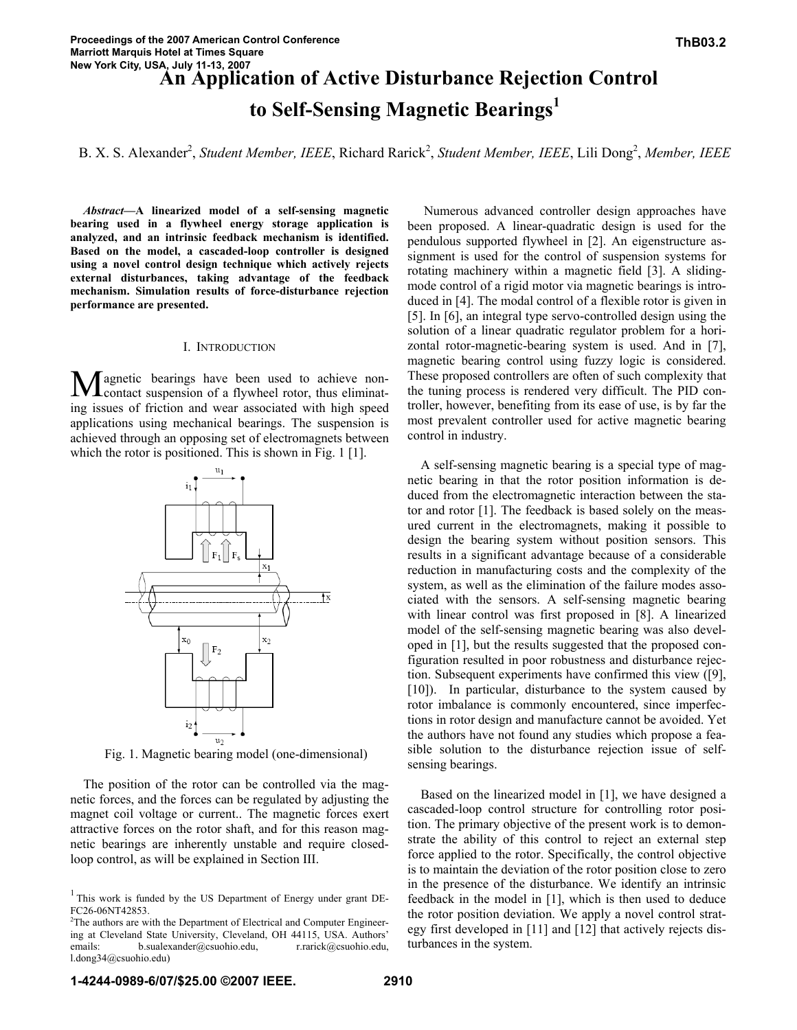# **An Application of Active Disturbance Rejection Control to Self-Sensing Magnetic Bearings1**

B. X. S. Alexander<sup>2</sup>, Student Member, IEEE, Richard Rarick<sup>2</sup>, Student Member, IEEE, Lili Dong<sup>2</sup>, Member, IEEE

*Abstract***—A linearized model of a self-sensing magnetic bearing used in a flywheel energy storage application is analyzed, and an intrinsic feedback mechanism is identified. Based on the model, a cascaded-loop controller is designed using a novel control design technique which actively rejects external disturbances, taking advantage of the feedback mechanism. Simulation results of force-disturbance rejection performance are presented.** 

# I. INTRODUCTION

agnetic bearings have been used to achieve noncontact suspension of a flywheel rotor, thus eliminating issues of friction and wear associated with high speed applications using mechanical bearings. The suspension is achieved through an opposing set of electromagnets between which the rotor is positioned. This is shown in Fig. 1 [1].  $\mathbf{M}^{\textrm{\tiny{ag}}}_{\textrm{\tiny{cc}}}$ 



Fig. 1. Magnetic bearing model (one-dimensional)

The position of the rotor can be controlled via the magnetic forces, and the forces can be regulated by adjusting the magnet coil voltage or current.. The magnetic forces exert attractive forces on the rotor shaft, and for this reason magnetic bearings are inherently unstable and require closedloop control, as will be explained in Section III.

 Numerous advanced controller design approaches have been proposed. A linear-quadratic design is used for the pendulous supported flywheel in [2]. An eigenstructure assignment is used for the control of suspension systems for rotating machinery within a magnetic field [3]. A slidingmode control of a rigid motor via magnetic bearings is introduced in [4]. The modal control of a flexible rotor is given in [5]. In [6], an integral type servo-controlled design using the solution of a linear quadratic regulator problem for a horizontal rotor-magnetic-bearing system is used. And in [7], magnetic bearing control using fuzzy logic is considered. These proposed controllers are often of such complexity that the tuning process is rendered very difficult. The PID controller, however, benefiting from its ease of use, is by far the most prevalent controller used for active magnetic bearing control in industry.

A self-sensing magnetic bearing is a special type of magnetic bearing in that the rotor position information is deduced from the electromagnetic interaction between the stator and rotor [1]. The feedback is based solely on the measured current in the electromagnets, making it possible to design the bearing system without position sensors. This results in a significant advantage because of a considerable reduction in manufacturing costs and the complexity of the system, as well as the elimination of the failure modes associated with the sensors. A self-sensing magnetic bearing with linear control was first proposed in [8]. A linearized model of the self-sensing magnetic bearing was also developed in [1], but the results suggested that the proposed configuration resulted in poor robustness and disturbance rejection. Subsequent experiments have confirmed this view ([9], [10]). In particular, disturbance to the system caused by rotor imbalance is commonly encountered, since imperfections in rotor design and manufacture cannot be avoided. Yet the authors have not found any studies which propose a feasible solution to the disturbance rejection issue of selfsensing bearings.

Based on the linearized model in [1], we have designed a cascaded-loop control structure for controlling rotor position. The primary objective of the present work is to demonstrate the ability of this control to reject an external step force applied to the rotor. Specifically, the control objective is to maintain the deviation of the rotor position close to zero in the presence of the disturbance. We identify an intrinsic feedback in the model in [1], which is then used to deduce the rotor position deviation. We apply a novel control strategy first developed in [11] and [12] that actively rejects disturbances in the system.

<sup>&</sup>lt;sup>1</sup> This work is funded by the US Department of Energy under grant DE-FC26-06NT42853.

<sup>&</sup>lt;sup>2</sup>The authors are with the Department of Electrical and Computer Engineering at Cleveland State University, Cleveland, OH 44115, USA. Authors' emails: b.sualexander@csuohio.edu, r.rarick@csuohio.edu, l.dong34@csuohio.edu)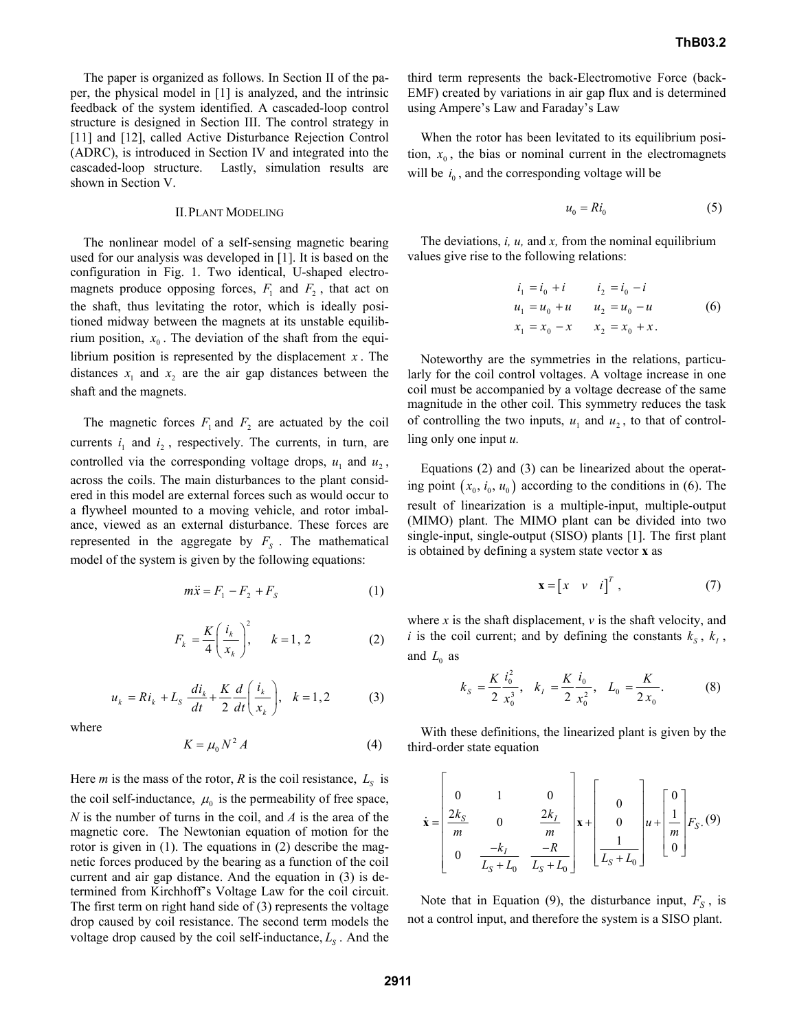The paper is organized as follows. In Section II of the paper, the physical model in [1] is analyzed, and the intrinsic feedback of the system identified. A cascaded-loop control structure is designed in Section III. The control strategy in [11] and [12], called Active Disturbance Rejection Control (ADRC), is introduced in Section IV and integrated into the cascaded-loop structure. Lastly, simulation results are shown in Section V.

# II.PLANT MODELING

The nonlinear model of a self-sensing magnetic bearing used for our analysis was developed in [1]. It is based on the configuration in Fig. 1. Two identical, U-shaped electromagnets produce opposing forces,  $F_1$  and  $F_2$ , that act on the shaft, thus levitating the rotor, which is ideally positioned midway between the magnets at its unstable equilibrium position,  $x_0$ . The deviation of the shaft from the equilibrium position is represented by the displacement *x* . The distances  $x_1$  and  $x_2$  are the air gap distances between the shaft and the magnets.

The magnetic forces  $F_1$  and  $F_2$  are actuated by the coil currents  $i_1$  and  $i_2$ , respectively. The currents, in turn, are controlled via the corresponding voltage drops,  $u_1$  and  $u_2$ , across the coils. The main disturbances to the plant considered in this model are external forces such as would occur to a flywheel mounted to a moving vehicle, and rotor imbalance, viewed as an external disturbance. These forces are represented in the aggregate by  $F<sub>S</sub>$ . The mathematical model of the system is given by the following equations:

$$
m\ddot{x} = F_1 - F_2 + F_s \tag{1}
$$

$$
F_k = \frac{K}{4} \left( \frac{i_k}{x_k} \right)^2, \quad k = 1, 2 \tag{2}
$$

$$
u_k = Ri_k + L_s \frac{di_k}{dt} + \frac{K}{2} \frac{d}{dt} \left( \frac{i_k}{x_k} \right), \quad k = 1, 2 \tag{3}
$$

where

$$
K = \mu_0 N^2 A \tag{4}
$$

Here *m* is the mass of the rotor, *R* is the coil resistance,  $L_s$  is the coil self-inductance,  $\mu_0$  is the permeability of free space, *N* is the number of turns in the coil, and *A* is the area of the magnetic core. The Newtonian equation of motion for the rotor is given in (1). The equations in (2) describe the magnetic forces produced by the bearing as a function of the coil current and air gap distance. And the equation in (3) is determined from Kirchhoff's Voltage Law for the coil circuit. The first term on right hand side of (3) represents the voltage drop caused by coil resistance. The second term models the voltage drop caused by the coil self-inductance,  $L<sub>s</sub>$ . And the third term represents the back-Electromotive Force (back-EMF) created by variations in air gap flux and is determined using Ampere's Law and Faraday's Law

When the rotor has been levitated to its equilibrium position,  $x_0$ , the bias or nominal current in the electromagnets will be  $i_0$ , and the corresponding voltage will be

$$
u_0 = Ri_0 \tag{5}
$$

The deviations, *i, u,* and *x,* from the nominal equilibrium values give rise to the following relations:

$$
i_1 = i_0 + i \t i_2 = i_0 - i
$$
  
\n
$$
u_1 = u_0 + u \t u_2 = u_0 - u \t (6)
$$
  
\n
$$
x_1 = x_0 - x \t x_2 = x_0 + x.
$$

Noteworthy are the symmetries in the relations, particularly for the coil control voltages. A voltage increase in one coil must be accompanied by a voltage decrease of the same magnitude in the other coil. This symmetry reduces the task of controlling the two inputs,  $u_1$  and  $u_2$ , to that of controlling only one input *u.*

Equations (2) and (3) can be linearized about the operating point  $(x_0, i_0, u_0)$  according to the conditions in (6). The result of linearization is a multiple-input, multiple-output (MIMO) plant. The MIMO plant can be divided into two single-input, single-output (SISO) plants [1]. The first plant is obtained by defining a system state vector **x** as

$$
\mathbf{x} = \begin{bmatrix} x & v & i \end{bmatrix}^T , \tag{7}
$$

where  $x$  is the shaft displacement,  $v$  is the shaft velocity, and *i* is the coil current; and by defining the constants  $k_s$ ,  $k_l$ , and  $L_0$  as

$$
k_{S} = \frac{K}{2} \frac{i_{0}^{2}}{x_{0}^{3}}, \quad k_{I} = \frac{K}{2} \frac{i_{0}}{x_{0}^{2}}, \quad L_{0} = \frac{K}{2x_{0}}.
$$
 (8)

With these definitions, the linearized plant is given by the third-order state equation

$$
\dot{\mathbf{x}} = \begin{bmatrix} 0 & 1 & 0 \\ \frac{2k_S}{m} & 0 & \frac{2k_I}{m} \\ 0 & \frac{-k_I}{L_S + L_0} & \frac{-R}{L_S + L_0} \end{bmatrix} \mathbf{x} + \begin{bmatrix} 0 \\ 0 \\ \frac{1}{L_S + L_0} \end{bmatrix} u + \begin{bmatrix} 0 \\ \frac{1}{m} \\ 0 \end{bmatrix} F_S. (9)
$$

Note that in Equation (9), the disturbance input,  $F_S$ , is not a control input, and therefore the system is a SISO plant.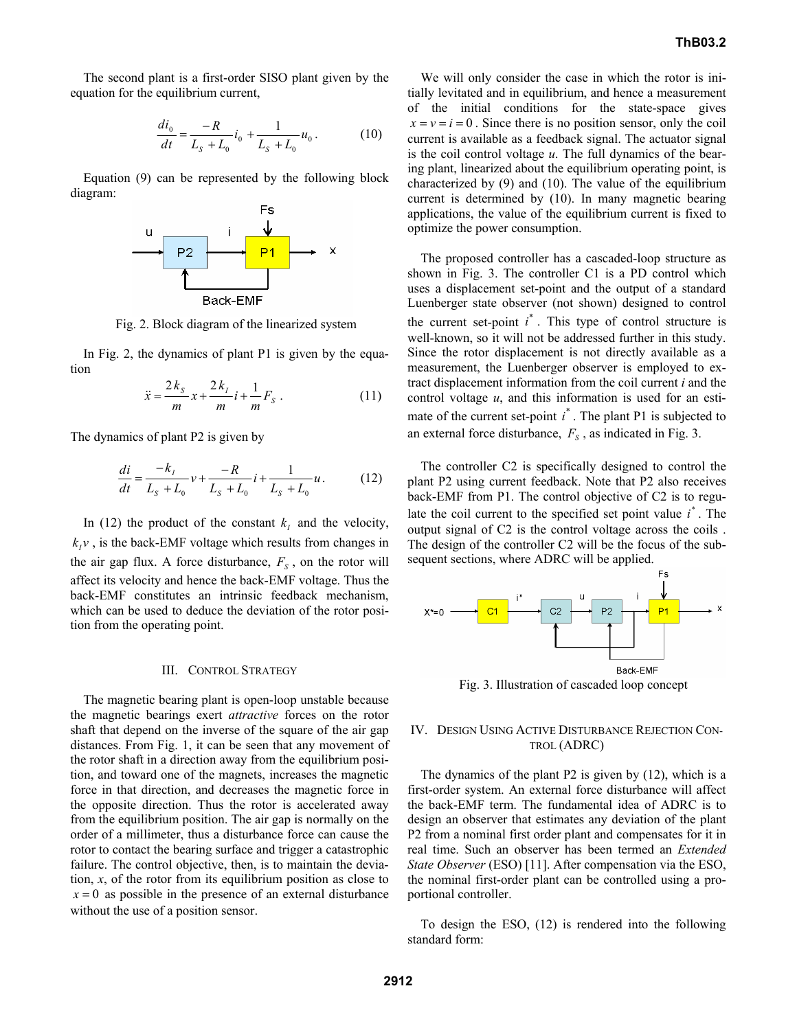The second plant is a first-order SISO plant given by the equation for the equilibrium current,

$$
\frac{di_0}{dt} = \frac{-R}{L_s + L_0} i_0 + \frac{1}{L_s + L_0} u_0.
$$
 (10)

Equation (9) can be represented by the following block diagram:



Fig. 2. Block diagram of the linearized system

In Fig. 2, the dynamics of plant P1 is given by the equation

$$
\ddot{x} = \frac{2k_s}{m}x + \frac{2k_t}{m}i + \frac{1}{m}F_s \ . \tag{11}
$$

The dynamics of plant P2 is given by

$$
\frac{di}{dt} = \frac{-k_I}{L_s + L_0} v + \frac{-R}{L_s + L_0} i + \frac{1}{L_s + L_0} u.
$$
 (12)

In (12) the product of the constant  $k_i$  and the velocity,  $k_i v$ , is the back-EMF voltage which results from changes in the air gap flux. A force disturbance,  $F<sub>s</sub>$ , on the rotor will affect its velocity and hence the back-EMF voltage. Thus the back-EMF constitutes an intrinsic feedback mechanism, which can be used to deduce the deviation of the rotor position from the operating point.

#### III. CONTROL STRATEGY

The magnetic bearing plant is open-loop unstable because the magnetic bearings exert *attractive* forces on the rotor shaft that depend on the inverse of the square of the air gap distances. From Fig. 1, it can be seen that any movement of the rotor shaft in a direction away from the equilibrium position, and toward one of the magnets, increases the magnetic force in that direction, and decreases the magnetic force in the opposite direction. Thus the rotor is accelerated away from the equilibrium position. The air gap is normally on the order of a millimeter, thus a disturbance force can cause the rotor to contact the bearing surface and trigger a catastrophic failure. The control objective, then, is to maintain the deviation, *x*, of the rotor from its equilibrium position as close to  $x = 0$  as possible in the presence of an external disturbance without the use of a position sensor.

We will only consider the case in which the rotor is initially levitated and in equilibrium, and hence a measurement of the initial conditions for the state-space gives  $x = v = i = 0$ . Since there is no position sensor, only the coil current is available as a feedback signal. The actuator signal is the coil control voltage *u*. The full dynamics of the bearing plant, linearized about the equilibrium operating point, is characterized by (9) and (10). The value of the equilibrium current is determined by (10). In many magnetic bearing applications, the value of the equilibrium current is fixed to optimize the power consumption.

The proposed controller has a cascaded-loop structure as shown in Fig. 3. The controller C1 is a PD control which uses a displacement set-point and the output of a standard Luenberger state observer (not shown) designed to control the current set-point  $i^*$ . This type of control structure is well-known, so it will not be addressed further in this study. Since the rotor displacement is not directly available as a measurement, the Luenberger observer is employed to extract displacement information from the coil current *i* and the control voltage *u*, and this information is used for an estimate of the current set-point  $i^*$ . The plant P1 is subjected to an external force disturbance,  $F<sub>S</sub>$ , as indicated in Fig. 3.

The controller C2 is specifically designed to control the plant P2 using current feedback. Note that P2 also receives back-EMF from P1. The control objective of C2 is to regulate the coil current to the specified set point value  $i^*$ . The output signal of C2 is the control voltage across the coils . The design of the controller C2 will be the focus of the subsequent sections, where ADRC will be applied.



Fig. 3. Illustration of cascaded loop concept

# IV. DESIGN USING ACTIVE DISTURBANCE REJECTION CON-TROL (ADRC)

The dynamics of the plant P2 is given by (12), which is a first-order system. An external force disturbance will affect the back-EMF term. The fundamental idea of ADRC is to design an observer that estimates any deviation of the plant P2 from a nominal first order plant and compensates for it in real time. Such an observer has been termed an *Extended State Observer* (ESO) [11]. After compensation via the ESO, the nominal first-order plant can be controlled using a proportional controller.

To design the ESO, (12) is rendered into the following standard form: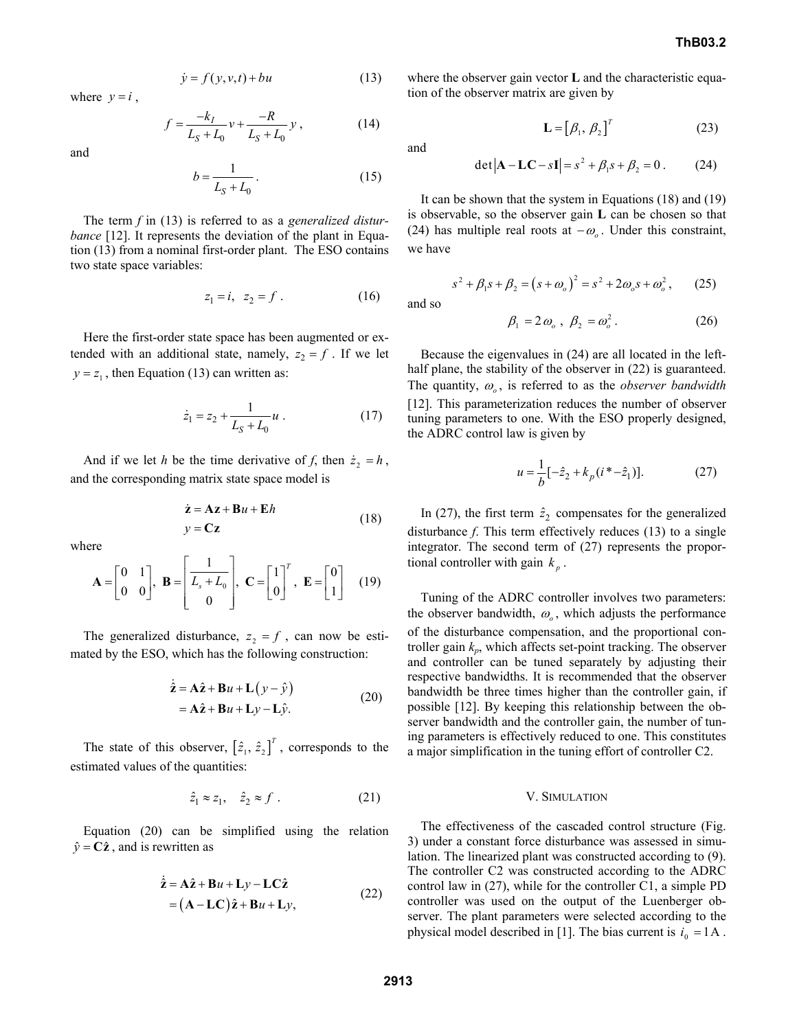$$
\dot{y} = f(y, v, t) + bu \tag{13}
$$

where  $y = i$ ,

$$
f = \frac{-k_I}{L_S + L_0} v + \frac{-R}{L_S + L_0} y, \qquad (14)
$$

and

$$
b = \frac{1}{L_S + L_0} \,. \tag{15}
$$

and

The term *f* in (13) is referred to as a *generalized disturbance* [12]. It represents the deviation of the plant in Equation (13) from a nominal first-order plant. The ESO contains two state space variables:

$$
z_1 = i, \ z_2 = f \ . \tag{16}
$$

Here the first-order state space has been augmented or extended with an additional state, namely,  $z_2 = f$ . If we let  $y = z<sub>1</sub>$ , then Equation (13) can written as:

$$
\dot{z}_1 = z_2 + \frac{1}{L_S + L_0} u \ . \tag{17}
$$

And if we let *h* be the time derivative of *f*, then  $\dot{z}_2 = h$ , and the corresponding matrix state space model is

$$
\dot{z} = Az + Bu + Eh
$$
  

$$
y = Cz
$$
 (18)

where

$$
\mathbf{A} = \begin{bmatrix} 0 & 1 \\ 0 & 0 \end{bmatrix}, \ \mathbf{B} = \begin{bmatrix} \frac{1}{L_s + L_0} \\ 0 \end{bmatrix}, \ \mathbf{C} = \begin{bmatrix} 1 \\ 0 \end{bmatrix}^T, \ \mathbf{E} = \begin{bmatrix} 0 \\ 1 \end{bmatrix} \tag{19}
$$

The generalized disturbance,  $z_2 = f$ , can now be estimated by the ESO, which has the following construction:

$$
\dot{\hat{\mathbf{z}}} = \mathbf{A}\hat{\mathbf{z}} + \mathbf{B}u + \mathbf{L}(y - \hat{y})
$$
  
=  $\mathbf{A}\hat{\mathbf{z}} + \mathbf{B}u + \mathbf{L}y - \mathbf{L}\hat{y}$ . (20)

The state of this observer,  $[\hat{z}_1, \hat{z}_2]^T$ , corresponds to the estimated values of the quantities:

$$
\hat{z}_1 \approx z_1, \quad \hat{z}_2 \approx f \tag{21}
$$

Equation (20) can be simplified using the relation  $\hat{y} = C\hat{z}$ , and is rewritten as

$$
\dot{\hat{\mathbf{z}}} = \mathbf{A}\hat{\mathbf{z}} + \mathbf{B}u + \mathbf{L}y - \mathbf{L}\mathbf{C}\hat{\mathbf{z}}
$$
  
=  $(\mathbf{A} - \mathbf{L}\mathbf{C})\hat{\mathbf{z}} + \mathbf{B}u + \mathbf{L}y,$  (22)

where the observer gain vector **L** and the characteristic equation of the observer matrix are given by

$$
\mathbf{L} = [\beta_1, \beta_2]^T
$$
 (23)

 2 1 2 det 0 **A LC I** − −=+ + = *ss s* β β . (24)

It can be shown that the system in Equations (18) and (19) is observable, so the observer gain **L** can be chosen so that (24) has multiple real roots at  $-\omega$ <sub>o</sub>. Under this constraint, we have

 $s^{2} + \beta_{1}s + \beta_{2} = (s + \omega_{o})^{2} = s^{2} + 2\omega_{o}s + \omega_{o}^{2}$ , (25) and so

$$
\beta_1 = 2 \omega_o , \ \beta_2 = \omega_o^2 . \tag{26}
$$

Because the eigenvalues in (24) are all located in the lefthalf plane, the stability of the observer in  $(22)$  is guaranteed. The quantity, <sup>ω</sup>*<sup>o</sup>* , is referred to as the *observer bandwidth* [12]. This parameterization reduces the number of observer tuning parameters to one. With the ESO properly designed, the ADRC control law is given by

$$
u = \frac{1}{b} \left[ -\hat{z}_2 + k_p \left( i^* - \hat{z}_1 \right) \right]. \tag{27}
$$

In (27), the first term  $\hat{z}_2$  compensates for the generalized disturbance *f*. This term effectively reduces (13) to a single integrator. The second term of (27) represents the proportional controller with gain  $k<sub>n</sub>$ .

Tuning of the ADRC controller involves two parameters: the observer bandwidth,  $\omega$ <sub>o</sub>, which adjusts the performance of the disturbance compensation, and the proportional controller gain  $k_p$ , which affects set-point tracking. The observer and controller can be tuned separately by adjusting their respective bandwidths. It is recommended that the observer bandwidth be three times higher than the controller gain, if possible [12]. By keeping this relationship between the observer bandwidth and the controller gain, the number of tuning parameters is effectively reduced to one. This constitutes a major simplification in the tuning effort of controller C2.

# V. SIMULATION

The effectiveness of the cascaded control structure (Fig. 3) under a constant force disturbance was assessed in simulation. The linearized plant was constructed according to (9). The controller C2 was constructed according to the ADRC control law in (27), while for the controller C1, a simple PD controller was used on the output of the Luenberger observer. The plant parameters were selected according to the physical model described in [1]. The bias current is  $i_0 = 1A$ .